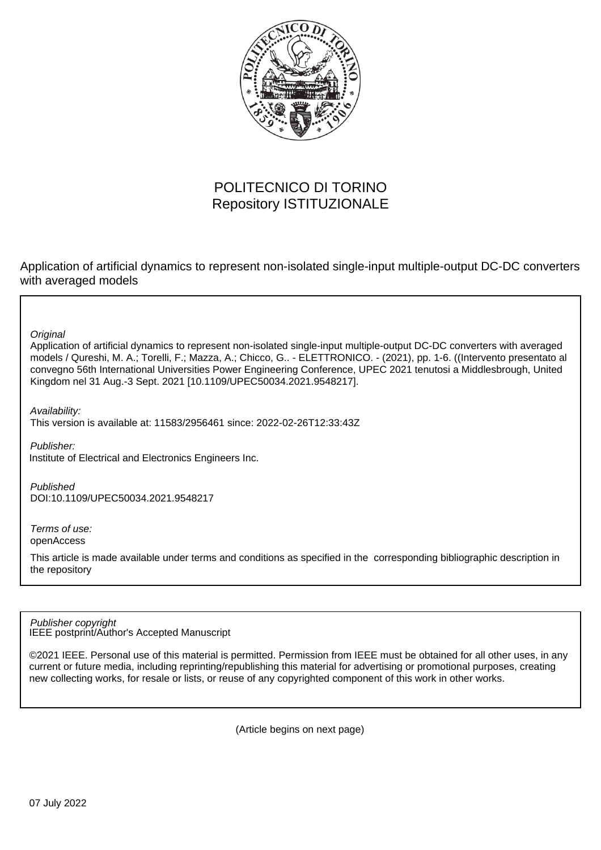

# POLITECNICO DI TORINO Repository ISTITUZIONALE

Application of artificial dynamics to represent non-isolated single-input multiple-output DC-DC converters with averaged models

**Original** 

Application of artificial dynamics to represent non-isolated single-input multiple-output DC-DC converters with averaged models / Qureshi, M. A.; Torelli, F.; Mazza, A.; Chicco, G.. - ELETTRONICO. - (2021), pp. 1-6. ((Intervento presentato al convegno 56th International Universities Power Engineering Conference, UPEC 2021 tenutosi a Middlesbrough, United Kingdom nel 31 Aug.-3 Sept. 2021 [10.1109/UPEC50034.2021.9548217].

Availability:

This version is available at: 11583/2956461 since: 2022-02-26T12:33:43Z

Publisher: Institute of Electrical and Electronics Engineers Inc.

Published DOI:10.1109/UPEC50034.2021.9548217

Terms of use: openAccess

This article is made available under terms and conditions as specified in the corresponding bibliographic description in the repository

IEEE postprint/Author's Accepted Manuscript Publisher copyright

©2021 IEEE. Personal use of this material is permitted. Permission from IEEE must be obtained for all other uses, in any current or future media, including reprinting/republishing this material for advertising or promotional purposes, creating new collecting works, for resale or lists, or reuse of any copyrighted component of this work in other works.

(Article begins on next page)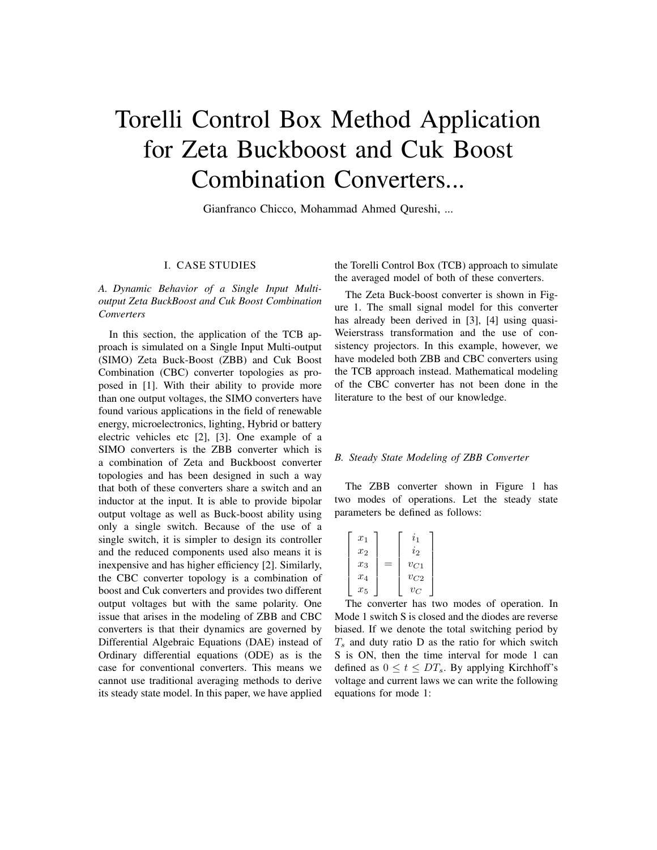# Torelli Control Box Method Application for Zeta Buckboost and Cuk Boost Combination Converters...

Gianfranco Chicco, Mohammad Ahmed Qureshi, ...

## I. CASE STUDIES

*A. Dynamic Behavior of a Single Input Multioutput Zeta BuckBoost and Cuk Boost Combination Converters*

In this section, the application of the TCB approach is simulated on a Single Input Multi-output (SIMO) Zeta Buck-Boost (ZBB) and Cuk Boost Combination (CBC) converter topologies as proposed in [1]. With their ability to provide more than one output voltages, the SIMO converters have found various applications in the field of renewable energy, microelectronics, lighting, Hybrid or battery electric vehicles etc [2], [3]. One example of a SIMO converters is the ZBB converter which is a combination of Zeta and Buckboost converter topologies and has been designed in such a way that both of these converters share a switch and an inductor at the input. It is able to provide bipolar output voltage as well as Buck-boost ability using only a single switch. Because of the use of a single switch, it is simpler to design its controller and the reduced components used also means it is inexpensive and has higher efficiency [2]. Similarly, the CBC converter topology is a combination of boost and Cuk converters and provides two different output voltages but with the same polarity. One issue that arises in the modeling of ZBB and CBC converters is that their dynamics are governed by Differential Algebraic Equations (DAE) instead of Ordinary differential equations (ODE) as is the case for conventional converters. This means we cannot use traditional averaging methods to derive its steady state model. In this paper, we have applied

the Torelli Control Box (TCB) approach to simulate the averaged model of both of these converters.

The Zeta Buck-boost converter is shown in Figure 1. The small signal model for this converter has already been derived in [3], [4] using quasi-Weierstrass transformation and the use of consistency projectors. In this example, however, we have modeled both ZBB and CBC converters using the TCB approach instead. Mathematical modeling of the CBC converter has not been done in the literature to the best of our knowledge.

#### *B. Steady State Modeling of ZBB Converter*

The ZBB converter shown in Figure 1 has two modes of operations. Let the steady state parameters be defined as follows:

| $x_1$ | $\imath_1$ |
|-------|------------|
| $x_2$ | $i_2$      |
| $x_3$ | $v_{C1}$   |
| $x_4$ | $v_{C2}$   |
| $x_5$ | $v_C$      |

The converter has two modes of operation. In Mode 1 switch S is closed and the diodes are reverse biased. If we denote the total switching period by  $T<sub>s</sub>$  and duty ratio D as the ratio for which switch S is ON, then the time interval for mode 1 can defined as  $0 \le t \le DT_s$ . By applying Kirchhoff's voltage and current laws we can write the following equations for mode 1: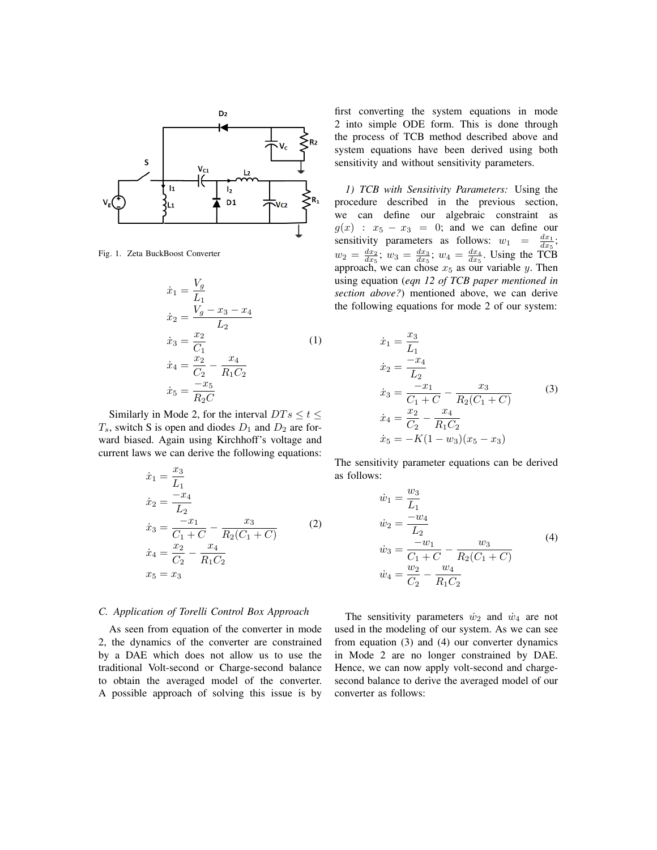

Fig. 1. Zeta BuckBoost Converter

$$
\begin{aligned}\n\dot{x}_1 &= \frac{V_g}{L_1} \\
\dot{x}_2 &= \frac{V_g - x_3 - x_4}{L_2} \\
\dot{x}_3 &= \frac{x_2}{C_1} \\
\dot{x}_4 &= \frac{x_2}{C_2} - \frac{x_4}{R_1 C_2} \\
\dot{x}_5 &= \frac{-x_5}{R_2 C}\n\end{aligned} \tag{1}
$$

Similarly in Mode 2, for the interval  $DTs \le t \le$  $T_s$ , switch S is open and diodes  $D_1$  and  $D_2$  are forward biased. Again using Kirchhoff's voltage and current laws we can derive the following equations:

$$
\begin{aligned}\n\dot{x}_1 &= \frac{x_3}{L_1} \\
\dot{x}_2 &= \frac{-x_4}{L_2} \\
\dot{x}_3 &= \frac{-x_1}{C_1 + C} - \frac{x_3}{R_2(C_1 + C)} \\
\dot{x}_4 &= \frac{x_2}{C_2} - \frac{x_4}{R_1 C_2} \\
x_5 &= x_3\n\end{aligned} \tag{2}
$$

#### *C. Application of Torelli Control Box Approach*

As seen from equation of the converter in mode 2, the dynamics of the converter are constrained by a DAE which does not allow us to use the traditional Volt-second or Charge-second balance to obtain the averaged model of the converter. A possible approach of solving this issue is by

first converting the system equations in mode 2 into simple ODE form. This is done through the process of TCB method described above and system equations have been derived using both sensitivity and without sensitivity parameters.

*1) TCB with Sensitivity Parameters:* Using the procedure described in the previous section, we can define our algebraic constraint as  $g(x)$  :  $x_5 - x_3 = 0$ ; and we can define our sensitivity parameters as follows:  $w_1 = \frac{dx_1}{dx_5}$ ;  $w_2 = \frac{dx_2}{dx_5}$ ;  $w_3 = \frac{dx_3}{dx_5}$ ;  $w_4 = \frac{dx_4}{dx_5}$ . Using the TCB approach, we can chose  $x_5$  as our variable y. Then using equation (*eqn 12 of TCB paper mentioned in section above?*) mentioned above, we can derive the following equations for mode 2 of our system:

$$
\begin{aligned}\n\dot{x}_1 &= \frac{x_3}{L_1} \\
\dot{x}_2 &= \frac{-x_4}{L_2} \\
\dot{x}_3 &= \frac{-x_1}{C_1 + C} - \frac{x_3}{R_2(C_1 + C)} \\
\dot{x}_4 &= \frac{x_2}{C_2} - \frac{x_4}{R_1C_2} \\
\dot{x}_5 &= -K(1 - w_3)(x_5 - x_3)\n\end{aligned} \tag{3}
$$

The sensitivity parameter equations can be derived as follows:

$$
\dot{w}_1 = \frac{w_3}{L_1}
$$
\n
$$
\dot{w}_2 = \frac{-w_4}{L_2}
$$
\n
$$
\dot{w}_3 = \frac{-w_1}{C_1 + C} - \frac{w_3}{R_2(C_1 + C)}
$$
\n
$$
\dot{w}_4 = \frac{w_2}{C_2} - \frac{w_4}{R_1 C_2}
$$
\n(4)

The sensitivity parameters  $\dot{w}_2$  and  $\dot{w}_4$  are not used in the modeling of our system. As we can see from equation (3) and (4) our converter dynamics in Mode 2 are no longer constrained by DAE. Hence, we can now apply volt-second and chargesecond balance to derive the averaged model of our converter as follows: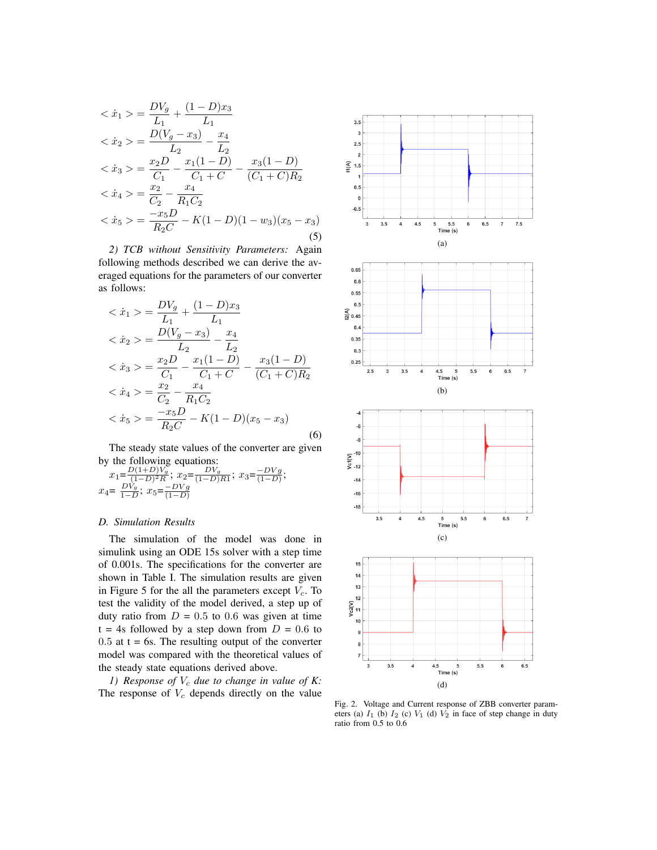$$
\begin{aligned}\n&<\dot{x}_1>=\frac{DV_g}{L_1}+\frac{(1-D)x_3}{L_1} \\
&<\dot{x}_2>=\frac{D(V_g-x_3)}{L_2}-\frac{x_4}{L_2} \\
&<\dot{x}_3>=\frac{x_2D}{C_1}-\frac{x_1(1-D)}{C_1+C}-\frac{x_3(1-D)}{(C_1+C)R_2} \\
&<\dot{x}_4>=\frac{x_2}{C_2}-\frac{x_4}{R_1C_2} \\
&<\dot{x}_5>=\frac{-x_5D}{R_2C}-K(1-D)(1-w_3)(x_5-x_3)\n\end{aligned}
$$
\n(5)

*2) TCB without Sensitivity Parameters:* Again following methods described we can derive the averaged equations for the parameters of our converter as follows:

$$
\begin{aligned}\n& \langle \dot{x}_1 \rangle = \frac{DV_g}{L_1} + \frac{(1-D)x_3}{L_1} \\
& \langle \dot{x}_2 \rangle = \frac{D(V_g - x_3)}{L_2} - \frac{x_4}{L_2} \\
& \langle \dot{x}_3 \rangle = \frac{x_2D}{C_1} - \frac{x_1(1-D)}{C_1+C} - \frac{x_3(1-D)}{(C_1+C)R_2} \\
& \langle \dot{x}_4 \rangle = \frac{x_2}{C_2} - \frac{x_4}{R_1C_2} \\
& \langle \dot{x}_5 \rangle = \frac{-x_5D}{R_2C} - K(1-D)(x_5 - x_3)\n\end{aligned}
$$
\n
$$
(6)
$$

The steady state values of the converter are given by the following equations:

$$
x_1 = \frac{D(1+D)V_g}{(1-D)^2 R}; x_2 = \frac{DV_g}{(1-D)R1}; x_3 = \frac{-DV_g}{(1-D)};
$$
  

$$
x_4 = \frac{DV_g}{1-D}; x_5 = \frac{-DV_g}{(1-D)}
$$

#### *D. Simulation Results*

The simulation of the model was done in simulink using an ODE 15s solver with a step time of 0.001s. The specifications for the converter are shown in Table I. The simulation results are given in Figure 5 for the all the parameters except  $V_c$ . To test the validity of the model derived, a step up of duty ratio from  $D = 0.5$  to 0.6 was given at time  $t = 4s$  followed by a step down from  $D = 0.6$  to  $0.5$  at  $t = 6s$ . The resulting output of the converter model was compared with the theoretical values of the steady state equations derived above.

*1)* Response of  $V_c$  due to change in value of K: The response of  $V_c$  depends directly on the value



Fig. 2. Voltage and Current response of ZBB converter parameters (a)  $I_1$  (b)  $I_2$  (c)  $V_1$  (d)  $V_2$  in face of step change in duty ratio from 0.5 to 0.6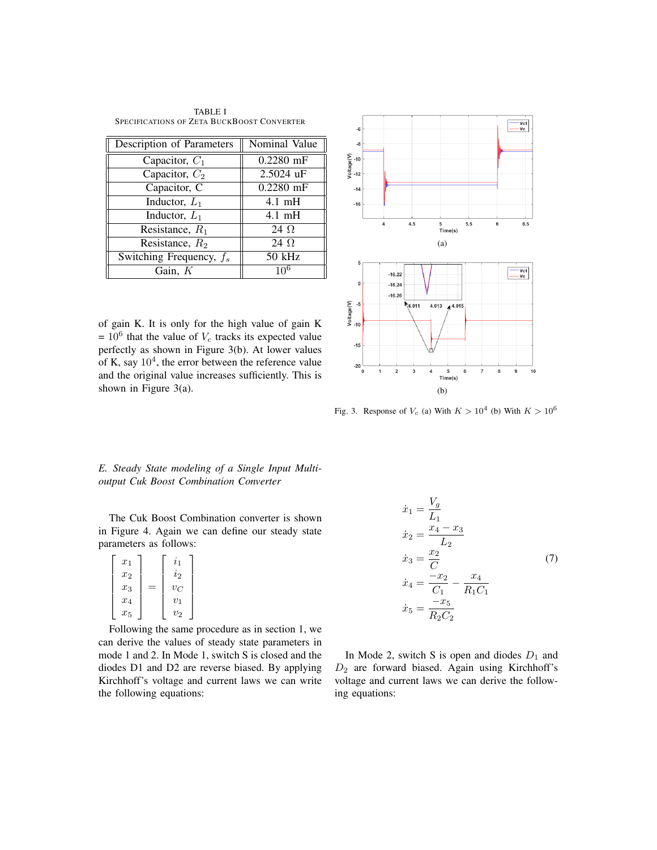TABLE I SPECIFICATIONS OF ZETA BUCKBOOST CONVERTER

| Description of Parameters  | Nominal Value    |
|----------------------------|------------------|
| Capacitor, $C_1$           | $0.2280$ mF      |
| Capacitor, $C_2$           | 2.5024 uF        |
| Capacitor, C               | $0.2280$ mF      |
| Inductor, $L_1$            | $4.1 \text{ mH}$ |
| Inductor, $L_1$            | $4.1 \text{ mH}$ |
| Resistance, $R_1$          | 24 $\Omega$      |
| Resistance, $R_2$          | 24 $\Omega$      |
| Switching Frequency, $f_s$ | 50 kHz           |
| Gain, $K$                  |                  |

of gain K. It is only for the high value of gain K  $= 10^6$  that the value of  $V_c$  tracks its expected value perfectly as shown in Figure 3(b). At lower values of K, say  $10<sup>4</sup>$ , the error between the reference value and the original value increases sufficiently. This is shown in Figure 3(a).



Fig. 3. Response of  $V_c$  (a) With  $K > 10^4$  (b) With  $K > 10^6$ 

*E. Steady State modeling of a Single Input Multioutput Cuk Boost Combination Converter*

The Cuk Boost Combination converter is shown in Figure 4. Again we can define our steady state parameters as follows:

| $x_1$              | $\imath_1$ |
|--------------------|------------|
| $x_2$              | $i_2$      |
| $\boldsymbol{x_3}$ | $v_C$      |
| $x_4$              | $v_1$      |
| $x_5$              | $v_2$      |

Following the same procedure as in section 1, we can derive the values of steady state parameters in mode 1 and 2. In Mode 1, switch S is closed and the diodes D1 and D2 are reverse biased. By applying Kirchhoff's voltage and current laws we can write the following equations:

$$
\begin{aligned}\n\dot{x}_1 &= \frac{V_g}{L_1} \\
\dot{x}_2 &= \frac{x_4 - x_3}{L_2} \\
\dot{x}_3 &= \frac{x_2}{C} \\
\dot{x}_4 &= \frac{-x_2}{C_1} - \frac{x_4}{R_1 C_1} \\
\dot{x}_5 &= \frac{-x_5}{R_2 C_2}\n\end{aligned} \tag{7}
$$

In Mode 2, switch S is open and diodes  $D_1$  and  $D_2$  are forward biased. Again using Kirchhoff's voltage and current laws we can derive the following equations: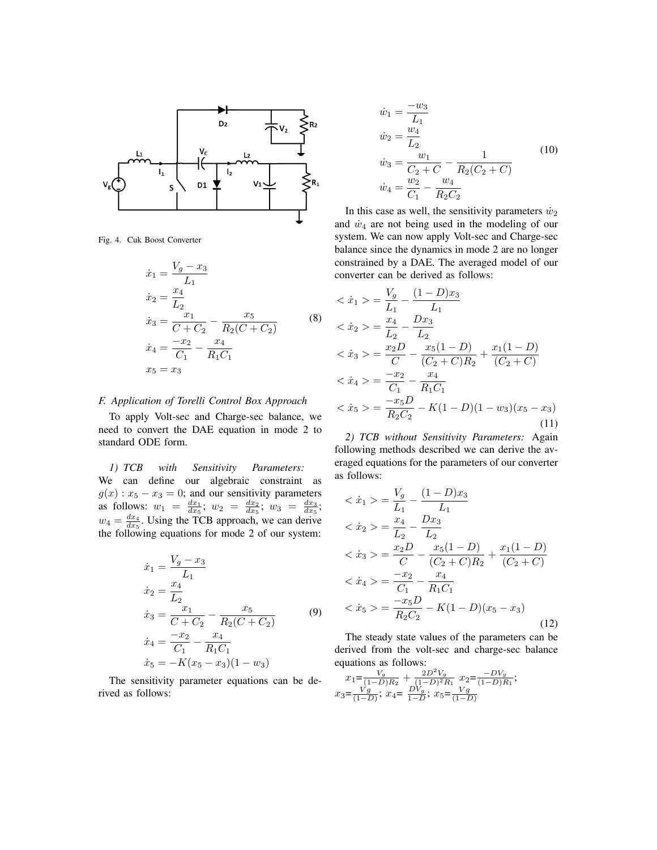

Fig. 4. Cuk Boost Converter

$$
\begin{aligned}\n\dot{x}_1 &= \frac{V_g - x_3}{L_1} \\
\dot{x}_2 &= \frac{x_4}{L_2} \\
\dot{x}_3 &= \frac{x_1}{C + C_2} - \frac{x_5}{R_2(C + C_2)} \\
\dot{x}_4 &= \frac{-x_2}{C_1} - \frac{x_4}{R_1 C_1} \\
x_5 &= x_3\n\end{aligned} \tag{8}
$$

### *F. Application of Torelli Control Box Approach*

To apply Volt-sec and Charge-sec balance, we need to convert the DAE equation in mode 2 to standard ODE form.

*1) TCB with Sensitivity Parameters:* We can define our algebraic constraint as  $g(x)$ :  $x_5 - x_3 = 0$ ; and our sensitivity parameters as follows:  $w_1 = \frac{dx_1}{dx_5}$ ;  $w_2 = \frac{dx_2}{dx_5}$ ;  $w_3 = \frac{dx_3}{dx_5}$ ;  $w_4 = \frac{dx_4}{dx_5}$ . Using the TCB approach, we can derive the following equations for mode 2 of our system:

$$
\begin{aligned}\n\dot{x}_1 &= \frac{V_g - x_3}{L_1} \\
\dot{x}_2 &= \frac{x_4}{L_2} \\
\dot{x}_3 &= \frac{x_1}{C + C_2} - \frac{x_5}{R_2(C + C_2)} \\
\dot{x}_4 &= \frac{-x_2}{C_1} - \frac{x_4}{R_1 C_1} \\
\dot{x}_5 &= -K(x_5 - x_3)(1 - w_3)\n\end{aligned}
$$
\n(9)

The sensitivity parameter equations can be derived as follows:

$$
\dot{w}_1 = \frac{-w_3}{L_1} \n\dot{w}_2 = \frac{w_4}{L_2} \n\dot{w}_3 = \frac{w_1}{C_2 + C} - \frac{1}{R_2(C_2 + C)} \n\dot{w}_4 = \frac{w_2}{C_1} - \frac{w_4}{R_2C_2}
$$
\n(10)

In this case as well, the sensitivity parameters  $\dot{w}_2$ and  $\dot{w}_4$  are not being used in the modeling of our system. We can now apply Volt-sec and Charge-sec balance since the dynamics in mode 2 are no longer constrained by a DAE. The averaged model of our converter can be derived as follows:

$$
\begin{aligned}\n& \langle \dot{x}_1 \rangle = \frac{V_g}{L_1} - \frac{(1-D)x_3}{L_1} \\
& \langle \dot{x}_2 \rangle = \frac{x_4}{L_2} - \frac{Dx_3}{L_2} \\
& \langle \dot{x}_3 \rangle = \frac{x_2 D}{C} - \frac{x_5(1-D)}{(C_2 + C)R_2} + \frac{x_1(1-D)}{(C_2 + C)} \\
& \langle \dot{x}_4 \rangle = \frac{-x_2}{C_1} - \frac{x_4}{R_1 C_1} \\
& \langle \dot{x}_5 \rangle = \frac{-x_5 D}{R_2 C_2} - K(1-D)(1-w_3)(x_5 - x_3)\n\end{aligned}
$$
\n
$$
(11)
$$

*2) TCB without Sensitivity Parameters:* Again following methods described we can derive the averaged equations for the parameters of our converter as follows:

$$
\begin{aligned}\n& <\dot{x}_1> = \frac{V_g}{L_1} - \frac{(1-D)x_3}{L_1} \\
& <\dot{x}_2> = \frac{x_4}{L_2} - \frac{Dx_3}{L_2} \\
& <\dot{x}_3> = \frac{x_2D}{C} - \frac{x_5(1-D)}{(C_2+C)R_2} + \frac{x_1(1-D)}{(C_2+C)} \\
& <\dot{x}_4> = \frac{-x_2}{C_1} - \frac{x_4}{R_1C_1} \\
& <\dot{x}_5> = \frac{-x_5D}{R_2C_2} - K(1-D)(x_5 - x_3)\n\end{aligned}
$$
\n
$$
(12)
$$

The steady state values of the parameters can be derived from the volt-sec and charge-sec balance equations as follows:

$$
x_1 = \frac{V_g}{(1-D)R_2} + \frac{2D^2V_g}{(1-D)^2R_1} x_2 = \frac{-DV_g}{(1-D)R_1};
$$
  

$$
x_3 = \frac{V_g}{(1-D)}; x_4 = \frac{DV_g}{1-D}; x_5 = \frac{V_g}{(1-D)}
$$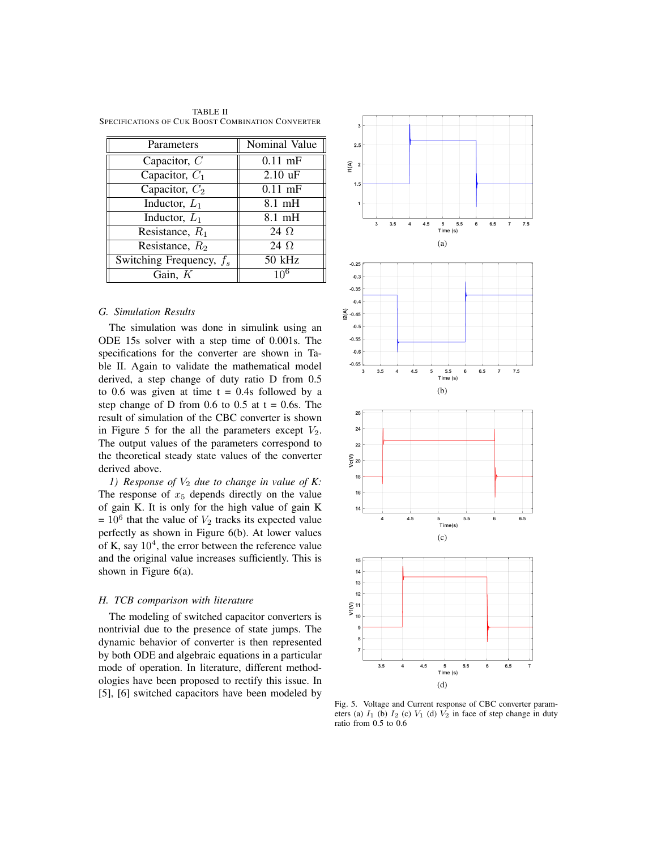TABLE II SPECIFICATIONS OF CUK BOOST COMBINATION CONVERTER

| Parameters                 | Nominal Value     |
|----------------------------|-------------------|
| Capacitor, $C$             | $0.11$ mF         |
| Capacitor, $C_1$           | $2.10 \text{ uF}$ |
| Capacitor, $C_2$           | $0.11$ mF         |
| Inductor, $L_1$            | $8.1 \text{ mH}$  |
| Inductor, $L_1$            | $8.1 \text{ mH}$  |
| Resistance, $R_1$          | 24 $\Omega$       |
| Resistance, $R_2$          | 24 $\Omega$       |
| Switching Frequency, $f_s$ | 50 kHz            |
| Gain, K                    | 10 <sup>6</sup>   |

#### *G. Simulation Results*

The simulation was done in simulink using an ODE 15s solver with a step time of 0.001s. The specifications for the converter are shown in Table II. Again to validate the mathematical model derived, a step change of duty ratio D from 0.5 to 0.6 was given at time  $t = 0.4$ s followed by a step change of D from 0.6 to 0.5 at  $t = 0.6s$ . The result of simulation of the CBC converter is shown in Figure 5 for the all the parameters except  $V_2$ . The output values of the parameters correspond to the theoretical steady state values of the converter derived above.

*1)* Response of  $V_2$  due to change in value of K: The response of  $x<sub>5</sub>$  depends directly on the value of gain K. It is only for the high value of gain K  $= 10^6$  that the value of  $V_2$  tracks its expected value perfectly as shown in Figure 6(b). At lower values of K, say  $10<sup>4</sup>$ , the error between the reference value and the original value increases sufficiently. This is shown in Figure 6(a).

#### *H. TCB comparison with literature*

The modeling of switched capacitor converters is nontrivial due to the presence of state jumps. The dynamic behavior of converter is then represented by both ODE and algebraic equations in a particular mode of operation. In literature, different methodologies have been proposed to rectify this issue. In [5], [6] switched capacitors have been modeled by



Fig. 5. Voltage and Current response of CBC converter parameters (a)  $I_1$  (b)  $I_2$  (c)  $V_1$  (d)  $V_2$  in face of step change in duty ratio from 0.5 to 0.6